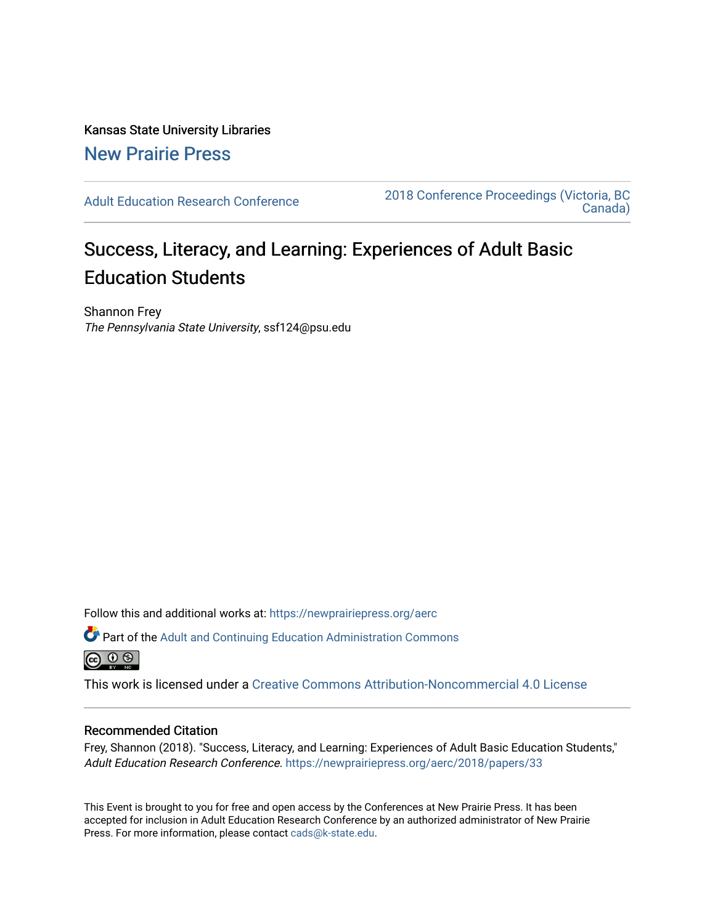# Kansas State University Libraries [New Prairie Press](https://newprairiepress.org/)

[Adult Education Research Conference](https://newprairiepress.org/aerc) [2018 Conference Proceedings \(Victoria, BC](https://newprairiepress.org/aerc/2018)  [Canada\)](https://newprairiepress.org/aerc/2018) 

# Success, Literacy, and Learning: Experiences of Adult Basic Education Students

Shannon Frey The Pennsylvania State University, ssf124@psu.edu

Follow this and additional works at: [https://newprairiepress.org/aerc](https://newprairiepress.org/aerc?utm_source=newprairiepress.org%2Faerc%2F2018%2Fpapers%2F33&utm_medium=PDF&utm_campaign=PDFCoverPages)

Part of the [Adult and Continuing Education Administration Commons](http://network.bepress.com/hgg/discipline/789?utm_source=newprairiepress.org%2Faerc%2F2018%2Fpapers%2F33&utm_medium=PDF&utm_campaign=PDFCoverPages) <u>ெ ெ ⊜</u>

This work is licensed under a [Creative Commons Attribution-Noncommercial 4.0 License](https://creativecommons.org/licenses/by-nc/4.0/)

# Recommended Citation

Frey, Shannon (2018). "Success, Literacy, and Learning: Experiences of Adult Basic Education Students," Adult Education Research Conference. <https://newprairiepress.org/aerc/2018/papers/33>

This Event is brought to you for free and open access by the Conferences at New Prairie Press. It has been accepted for inclusion in Adult Education Research Conference by an authorized administrator of New Prairie Press. For more information, please contact [cads@k-state.edu.](mailto:cads@k-state.edu)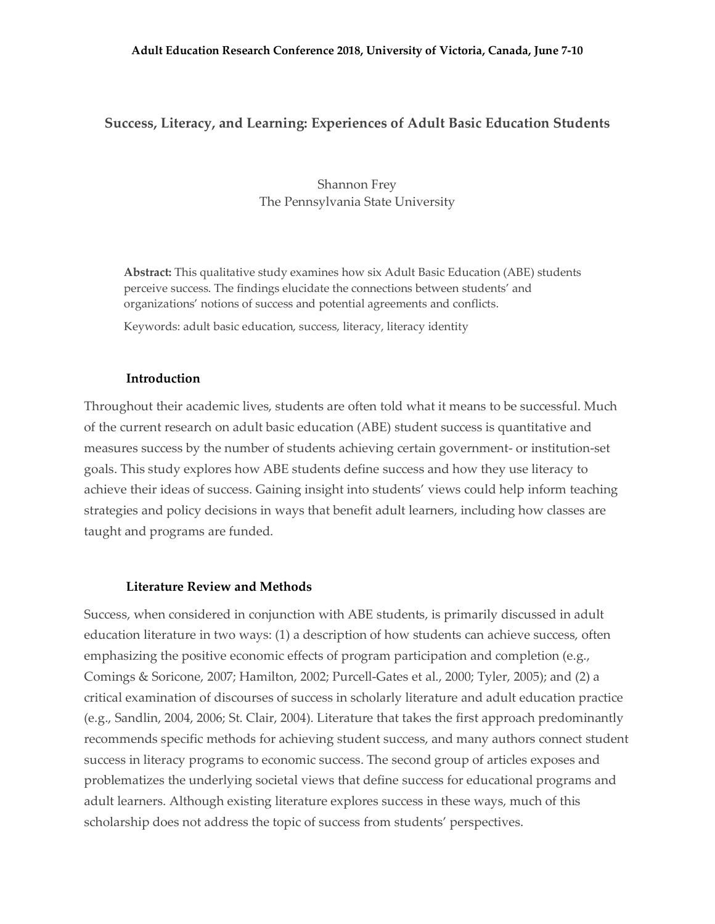# **Success, Literacy, and Learning: Experiences of Adult Basic Education Students**

Shannon Frey The Pennsylvania State University

**Abstract:** This qualitative study examines how six Adult Basic Education (ABE) students perceive success. The findings elucidate the connections between students' and organizations' notions of success and potential agreements and conflicts.

Keywords: adult basic education, success, literacy, literacy identity

#### **Introduction**

Throughout their academic lives, students are often told what it means to be successful. Much of the current research on adult basic education (ABE) student success is quantitative and measures success by the number of students achieving certain government- or institution-set goals. This study explores how ABE students define success and how they use literacy to achieve their ideas of success. Gaining insight into students' views could help inform teaching strategies and policy decisions in ways that benefit adult learners, including how classes are taught and programs are funded.

### **Literature Review and Methods**

Success, when considered in conjunction with ABE students, is primarily discussed in adult education literature in two ways: (1) a description of how students can achieve success, often emphasizing the positive economic effects of program participation and completion (e.g., Comings & Soricone, 2007; Hamilton, 2002; Purcell-Gates et al., 2000; Tyler, 2005); and (2) a critical examination of discourses of success in scholarly literature and adult education practice (e.g., Sandlin, 2004, 2006; St. Clair, 2004). Literature that takes the first approach predominantly recommends specific methods for achieving student success, and many authors connect student success in literacy programs to economic success. The second group of articles exposes and problematizes the underlying societal views that define success for educational programs and adult learners. Although existing literature explores success in these ways, much of this scholarship does not address the topic of success from students' perspectives.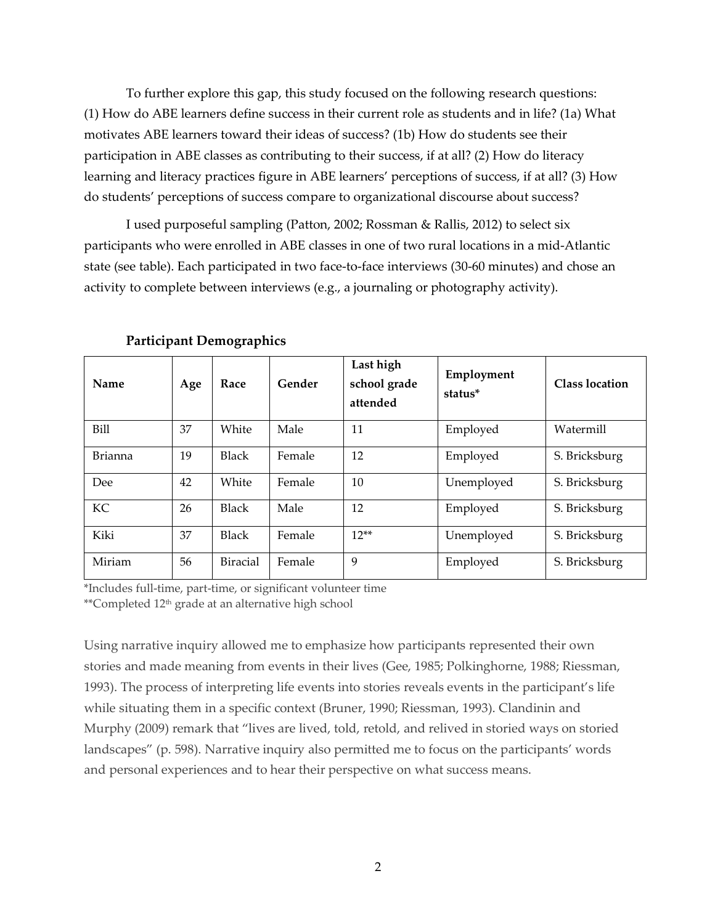To further explore this gap, this study focused on the following research questions: (1) How do ABE learners define success in their current role as students and in life? (1a) What motivates ABE learners toward their ideas of success? (1b) How do students see their participation in ABE classes as contributing to their success, if at all? (2) How do literacy learning and literacy practices figure in ABE learners' perceptions of success, if at all? (3) How do students' perceptions of success compare to organizational discourse about success?

I used purposeful sampling (Patton, 2002; Rossman & Rallis, 2012) to select six participants who were enrolled in ABE classes in one of two rural locations in a mid-Atlantic state (see table). Each participated in two face-to-face interviews (30-60 minutes) and chose an activity to complete between interviews (e.g., a journaling or photography activity).

| Name           | Age | Race            | Gender | Last high<br>school grade<br>attended | Employment<br>status* | <b>Class location</b> |
|----------------|-----|-----------------|--------|---------------------------------------|-----------------------|-----------------------|
| Bill           | 37  | White           | Male   | 11                                    | Employed              | Watermill             |
| <b>Brianna</b> | 19  | <b>Black</b>    | Female | 12                                    | Employed              | S. Bricksburg         |
| Dee            | 42  | White           | Female | 10                                    | Unemployed            | S. Bricksburg         |
| KC             | 26  | <b>Black</b>    | Male   | 12                                    | Employed              | S. Bricksburg         |
| Kiki           | 37  | <b>Black</b>    | Female | $12**$                                | Unemployed            | S. Bricksburg         |
| Miriam         | 56  | <b>Biracial</b> | Female | 9                                     | Employed              | S. Bricksburg         |

**Participant Demographics**

\*Includes full-time, part-time, or significant volunteer time \*\*Completed 12<sup>th</sup> grade at an alternative high school

Using narrative inquiry allowed me to emphasize how participants represented their own stories and made meaning from events in their lives (Gee, 1985; Polkinghorne, 1988; Riessman, 1993). The process of interpreting life events into stories reveals events in the participant's life while situating them in a specific context (Bruner, 1990; Riessman, 1993). Clandinin and Murphy (2009) remark that "lives are lived, told, retold, and relived in storied ways on storied landscapes" (p. 598). Narrative inquiry also permitted me to focus on the participants' words and personal experiences and to hear their perspective on what success means.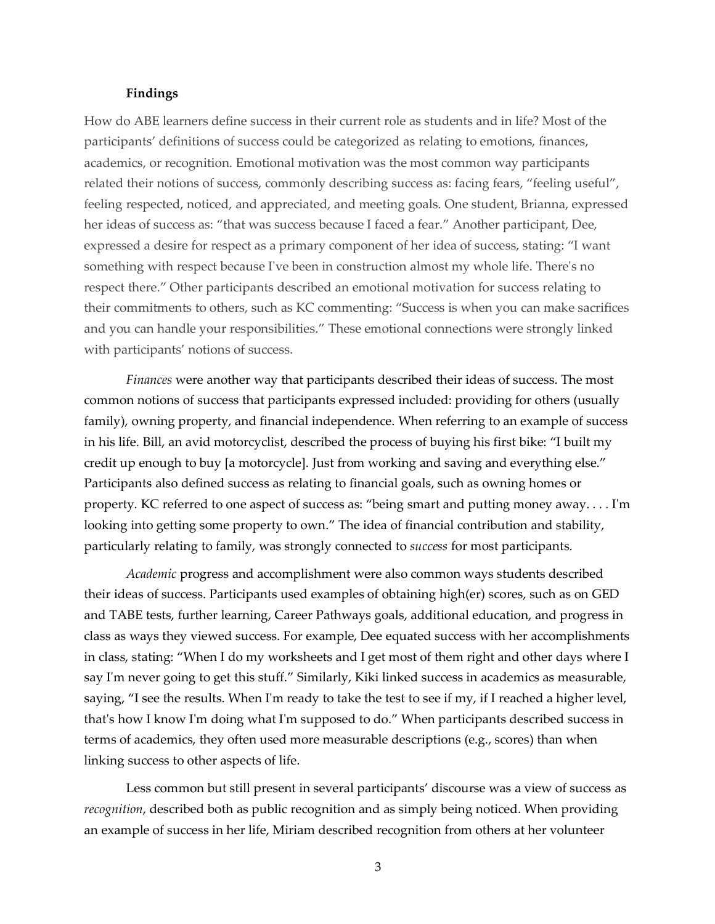#### **Findings**

How do ABE learners define success in their current role as students and in life? Most of the participants' definitions of success could be categorized as relating to emotions, finances, academics, or recognition. Emotional motivation was the most common way participants related their notions of success, commonly describing success as: facing fears, "feeling useful", feeling respected, noticed, and appreciated, and meeting goals. One student, Brianna, expressed her ideas of success as: "that was success because I faced a fear." Another participant, Dee, expressed a desire for respect as a primary component of her idea of success, stating: "I want something with respect because I've been in construction almost my whole life. There's no respect there." Other participants described an emotional motivation for success relating to their commitments to others, such as KC commenting: "Success is when you can make sacrifices and you can handle your responsibilities." These emotional connections were strongly linked with participants' notions of success.

*Finances* were another way that participants described their ideas of success. The most common notions of success that participants expressed included: providing for others (usually family), owning property, and financial independence. When referring to an example of success in his life. Bill, an avid motorcyclist, described the process of buying his first bike: "I built my credit up enough to buy [a motorcycle]. Just from working and saving and everything else." Participants also defined success as relating to financial goals, such as owning homes or property. KC referred to one aspect of success as: "being smart and putting money away. . . . I'm looking into getting some property to own." The idea of financial contribution and stability, particularly relating to family, was strongly connected to *success* for most participants.

*Academic* progress and accomplishment were also common ways students described their ideas of success. Participants used examples of obtaining high(er) scores, such as on GED and TABE tests, further learning, Career Pathways goals, additional education, and progress in class as ways they viewed success. For example, Dee equated success with her accomplishments in class, stating: "When I do my worksheets and I get most of them right and other days where I say I'm never going to get this stuff." Similarly, Kiki linked success in academics as measurable, saying, "I see the results. When I'm ready to take the test to see if my, if I reached a higher level, that's how I know I'm doing what I'm supposed to do." When participants described success in terms of academics, they often used more measurable descriptions (e.g., scores) than when linking success to other aspects of life.

Less common but still present in several participants' discourse was a view of success as *recognition*, described both as public recognition and as simply being noticed. When providing an example of success in her life, Miriam described recognition from others at her volunteer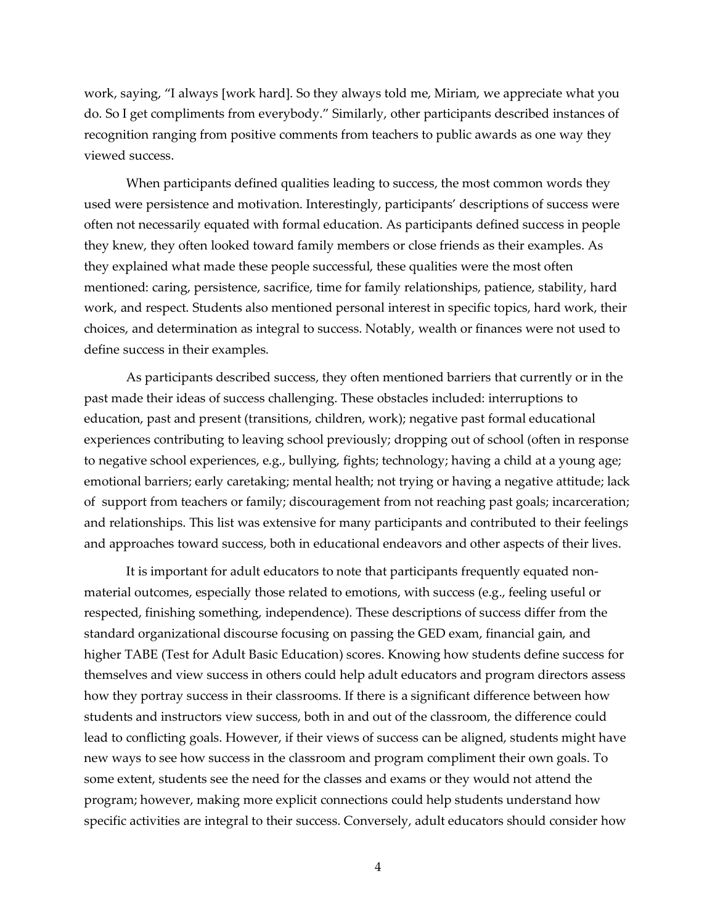work, saying, "I always [work hard]. So they always told me, Miriam, we appreciate what you do. So I get compliments from everybody." Similarly, other participants described instances of recognition ranging from positive comments from teachers to public awards as one way they viewed success.

When participants defined qualities leading to success, the most common words they used were persistence and motivation. Interestingly, participants' descriptions of success were often not necessarily equated with formal education. As participants defined success in people they knew, they often looked toward family members or close friends as their examples. As they explained what made these people successful, these qualities were the most often mentioned: caring, persistence, sacrifice, time for family relationships, patience, stability, hard work, and respect. Students also mentioned personal interest in specific topics, hard work, their choices, and determination as integral to success. Notably, wealth or finances were not used to define success in their examples.

As participants described success, they often mentioned barriers that currently or in the past made their ideas of success challenging. These obstacles included: interruptions to education, past and present (transitions, children, work); negative past formal educational experiences contributing to leaving school previously; dropping out of school (often in response to negative school experiences, e.g., bullying, fights; technology; having a child at a young age; emotional barriers; early caretaking; mental health; not trying or having a negative attitude; lack of support from teachers or family; discouragement from not reaching past goals; incarceration; and relationships. This list was extensive for many participants and contributed to their feelings and approaches toward success, both in educational endeavors and other aspects of their lives.

It is important for adult educators to note that participants frequently equated nonmaterial outcomes, especially those related to emotions, with success (e.g., feeling useful or respected, finishing something, independence). These descriptions of success differ from the standard organizational discourse focusing on passing the GED exam, financial gain, and higher TABE (Test for Adult Basic Education) scores. Knowing how students define success for themselves and view success in others could help adult educators and program directors assess how they portray success in their classrooms. If there is a significant difference between how students and instructors view success, both in and out of the classroom, the difference could lead to conflicting goals. However, if their views of success can be aligned, students might have new ways to see how success in the classroom and program compliment their own goals. To some extent, students see the need for the classes and exams or they would not attend the program; however, making more explicit connections could help students understand how specific activities are integral to their success. Conversely, adult educators should consider how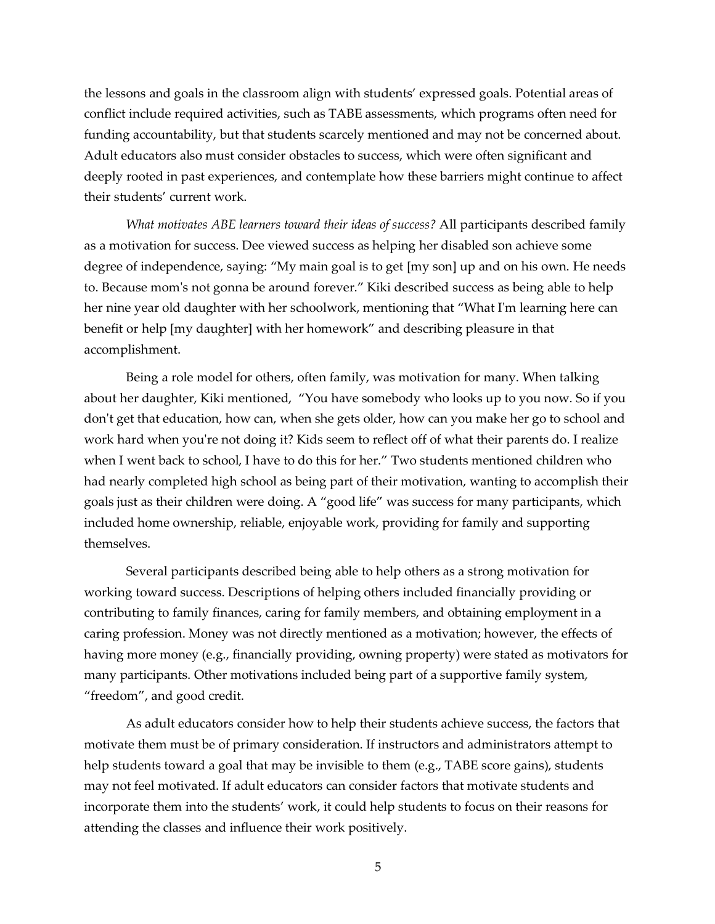the lessons and goals in the classroom align with students' expressed goals. Potential areas of conflict include required activities, such as TABE assessments, which programs often need for funding accountability, but that students scarcely mentioned and may not be concerned about. Adult educators also must consider obstacles to success, which were often significant and deeply rooted in past experiences, and contemplate how these barriers might continue to affect their students' current work.

*What motivates ABE learners toward their ideas of success?* All participants described family as a motivation for success. Dee viewed success as helping her disabled son achieve some degree of independence, saying: "My main goal is to get [my son] up and on his own. He needs to. Because mom's not gonna be around forever." Kiki described success as being able to help her nine year old daughter with her schoolwork, mentioning that "What I'm learning here can benefit or help [my daughter] with her homework" and describing pleasure in that accomplishment.

Being a role model for others, often family, was motivation for many. When talking about her daughter, Kiki mentioned, "You have somebody who looks up to you now. So if you don't get that education, how can, when she gets older, how can you make her go to school and work hard when you're not doing it? Kids seem to reflect off of what their parents do. I realize when I went back to school, I have to do this for her." Two students mentioned children who had nearly completed high school as being part of their motivation, wanting to accomplish their goals just as their children were doing. A "good life" was success for many participants, which included home ownership, reliable, enjoyable work, providing for family and supporting themselves.

Several participants described being able to help others as a strong motivation for working toward success. Descriptions of helping others included financially providing or contributing to family finances, caring for family members, and obtaining employment in a caring profession. Money was not directly mentioned as a motivation; however, the effects of having more money (e.g., financially providing, owning property) were stated as motivators for many participants. Other motivations included being part of a supportive family system, "freedom", and good credit.

As adult educators consider how to help their students achieve success, the factors that motivate them must be of primary consideration. If instructors and administrators attempt to help students toward a goal that may be invisible to them (e.g., TABE score gains), students may not feel motivated. If adult educators can consider factors that motivate students and incorporate them into the students' work, it could help students to focus on their reasons for attending the classes and influence their work positively.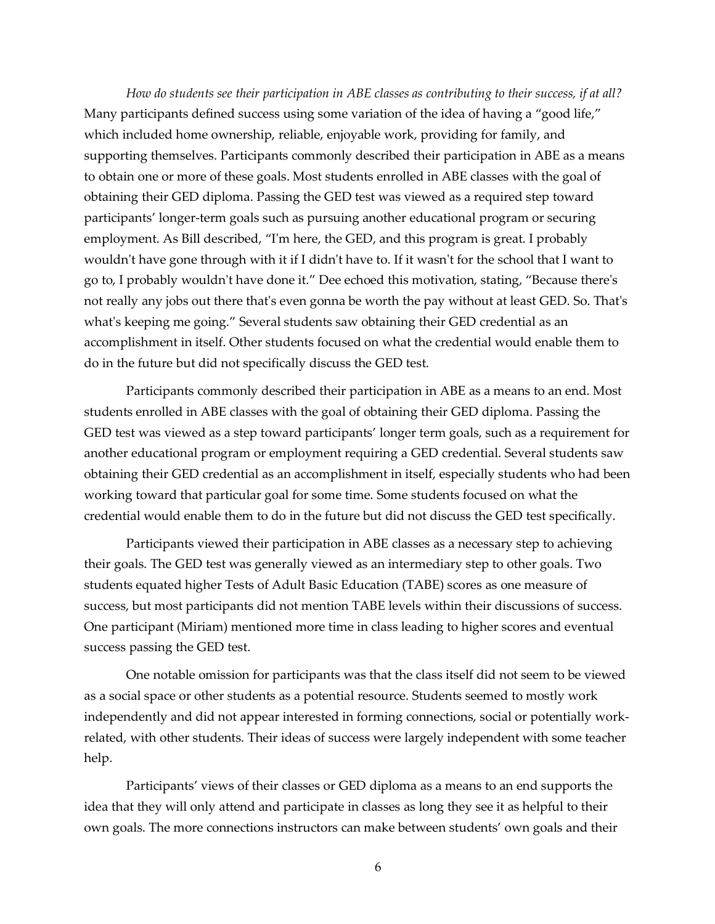*How do students see their participation in ABE classes as contributing to their success, if at all?*  Many participants defined success using some variation of the idea of having a "good life," which included home ownership, reliable, enjoyable work, providing for family, and supporting themselves. Participants commonly described their participation in ABE as a means to obtain one or more of these goals. Most students enrolled in ABE classes with the goal of obtaining their GED diploma. Passing the GED test was viewed as a required step toward participants' longer-term goals such as pursuing another educational program or securing employment. As Bill described, "I'm here, the GED, and this program is great. I probably wouldn't have gone through with it if I didn't have to. If it wasn't for the school that I want to go to, I probably wouldn't have done it." Dee echoed this motivation, stating, "Because there's not really any jobs out there that's even gonna be worth the pay without at least GED. So. That's what's keeping me going." Several students saw obtaining their GED credential as an accomplishment in itself. Other students focused on what the credential would enable them to do in the future but did not specifically discuss the GED test.

Participants commonly described their participation in ABE as a means to an end. Most students enrolled in ABE classes with the goal of obtaining their GED diploma. Passing the GED test was viewed as a step toward participants' longer term goals, such as a requirement for another educational program or employment requiring a GED credential. Several students saw obtaining their GED credential as an accomplishment in itself, especially students who had been working toward that particular goal for some time. Some students focused on what the credential would enable them to do in the future but did not discuss the GED test specifically.

Participants viewed their participation in ABE classes as a necessary step to achieving their goals. The GED test was generally viewed as an intermediary step to other goals. Two students equated higher Tests of Adult Basic Education (TABE) scores as one measure of success, but most participants did not mention TABE levels within their discussions of success. One participant (Miriam) mentioned more time in class leading to higher scores and eventual success passing the GED test.

One notable omission for participants was that the class itself did not seem to be viewed as a social space or other students as a potential resource. Students seemed to mostly work independently and did not appear interested in forming connections, social or potentially workrelated, with other students. Their ideas of success were largely independent with some teacher help.

Participants' views of their classes or GED diploma as a means to an end supports the idea that they will only attend and participate in classes as long they see it as helpful to their own goals. The more connections instructors can make between students' own goals and their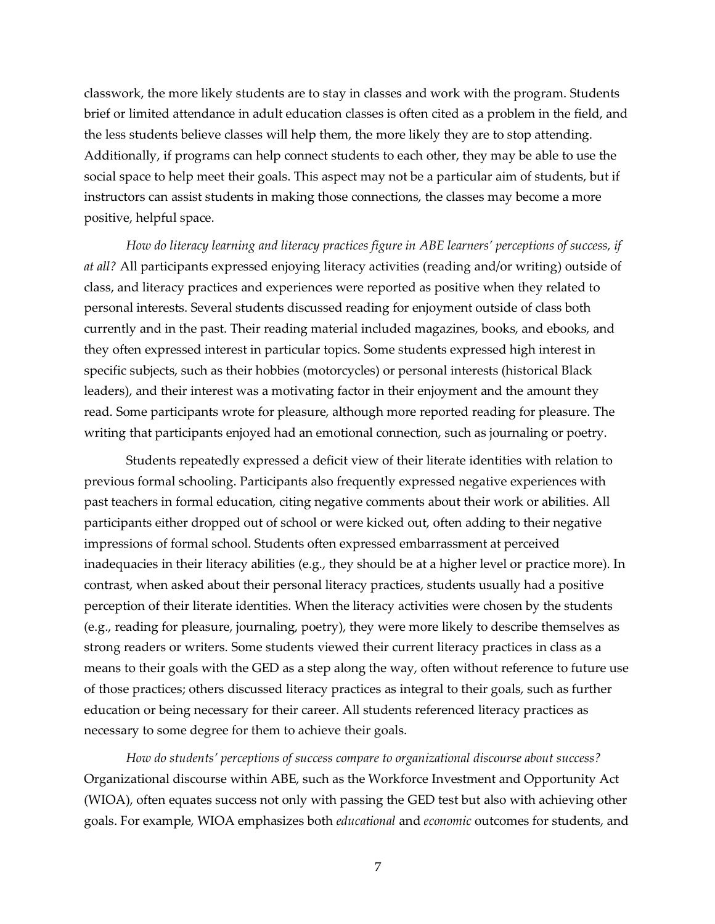classwork, the more likely students are to stay in classes and work with the program. Students brief or limited attendance in adult education classes is often cited as a problem in the field, and the less students believe classes will help them, the more likely they are to stop attending. Additionally, if programs can help connect students to each other, they may be able to use the social space to help meet their goals. This aspect may not be a particular aim of students, but if instructors can assist students in making those connections, the classes may become a more positive, helpful space.

*How do literacy learning and literacy practices figure in ABE learners' perceptions of success, if at all?* All participants expressed enjoying literacy activities (reading and/or writing) outside of class, and literacy practices and experiences were reported as positive when they related to personal interests. Several students discussed reading for enjoyment outside of class both currently and in the past. Their reading material included magazines, books, and ebooks, and they often expressed interest in particular topics. Some students expressed high interest in specific subjects, such as their hobbies (motorcycles) or personal interests (historical Black leaders), and their interest was a motivating factor in their enjoyment and the amount they read. Some participants wrote for pleasure, although more reported reading for pleasure. The writing that participants enjoyed had an emotional connection, such as journaling or poetry.

Students repeatedly expressed a deficit view of their literate identities with relation to previous formal schooling. Participants also frequently expressed negative experiences with past teachers in formal education, citing negative comments about their work or abilities. All participants either dropped out of school or were kicked out, often adding to their negative impressions of formal school. Students often expressed embarrassment at perceived inadequacies in their literacy abilities (e.g., they should be at a higher level or practice more). In contrast, when asked about their personal literacy practices, students usually had a positive perception of their literate identities. When the literacy activities were chosen by the students (e.g., reading for pleasure, journaling, poetry), they were more likely to describe themselves as strong readers or writers. Some students viewed their current literacy practices in class as a means to their goals with the GED as a step along the way, often without reference to future use of those practices; others discussed literacy practices as integral to their goals, such as further education or being necessary for their career. All students referenced literacy practices as necessary to some degree for them to achieve their goals.

*How do students' perceptions of success compare to organizational discourse about success?*  Organizational discourse within ABE, such as the Workforce Investment and Opportunity Act (WIOA), often equates success not only with passing the GED test but also with achieving other goals. For example, WIOA emphasizes both *educational* and *economic* outcomes for students, and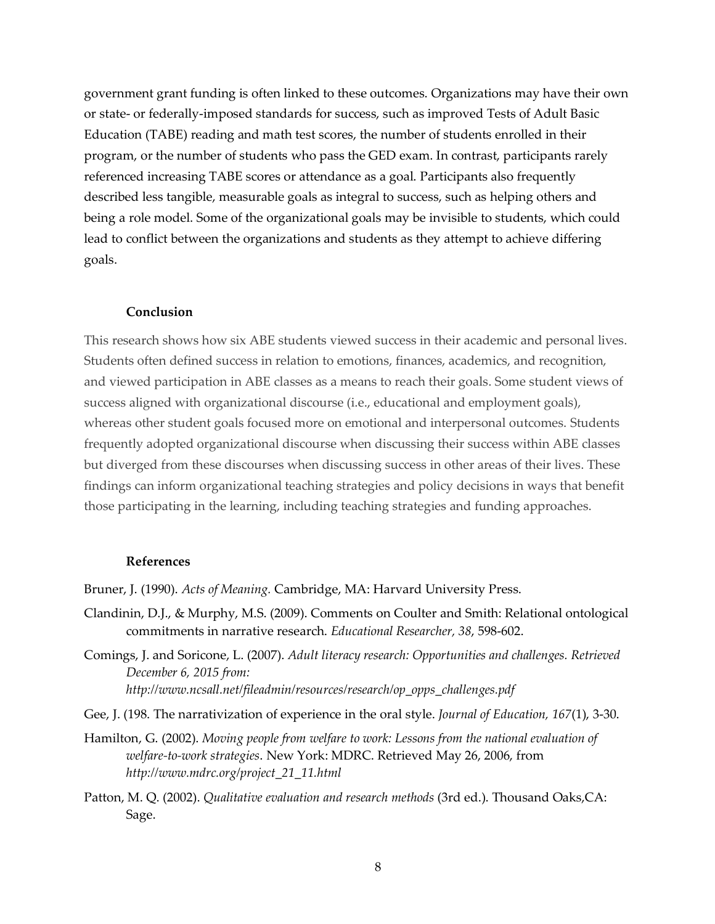government grant funding is often linked to these outcomes. Organizations may have their own or state- or federally-imposed standards for success, such as improved Tests of Adult Basic Education (TABE) reading and math test scores, the number of students enrolled in their program, or the number of students who pass the GED exam. In contrast, participants rarely referenced increasing TABE scores or attendance as a goal. Participants also frequently described less tangible, measurable goals as integral to success, such as helping others and being a role model. Some of the organizational goals may be invisible to students, which could lead to conflict between the organizations and students as they attempt to achieve differing goals.

#### **Conclusion**

This research shows how six ABE students viewed success in their academic and personal lives. Students often defined success in relation to emotions, finances, academics, and recognition, and viewed participation in ABE classes as a means to reach their goals. Some student views of success aligned with organizational discourse (i.e., educational and employment goals), whereas other student goals focused more on emotional and interpersonal outcomes. Students frequently adopted organizational discourse when discussing their success within ABE classes but diverged from these discourses when discussing success in other areas of their lives. These findings can inform organizational teaching strategies and policy decisions in ways that benefit those participating in the learning, including teaching strategies and funding approaches.

#### **References**

Bruner, J. (1990). *Acts of Meaning.* Cambridge, MA: Harvard University Press.

- Clandinin, D.J., & Murphy, M.S. (2009). Comments on Coulter and Smith: Relational ontological commitments in narrative research. *Educational Researcher, 38*, 598-602.
- Comings, J. and Soricone, L. (2007). *Adult literacy research: Opportunities and challenges. Retrieved December 6, 2015 from: http://www.ncsall.net/fileadmin/resources/research/op\_opps\_challenges.pdf*
- Gee, J. (198. The narrativization of experience in the oral style. *Journal of Education, 167*(1), 3-30.
- Hamilton, G. (2002). *Moving people from welfare to work: Lessons from the national evaluation of welfare-to-work strategies*. New York: MDRC. Retrieved May 26, 2006, from *http://www.mdrc.org/project\_21\_11.html*
- Patton, M. Q. (2002). *Qualitative evaluation and research methods* (3rd ed.). Thousand Oaks,CA: Sage.